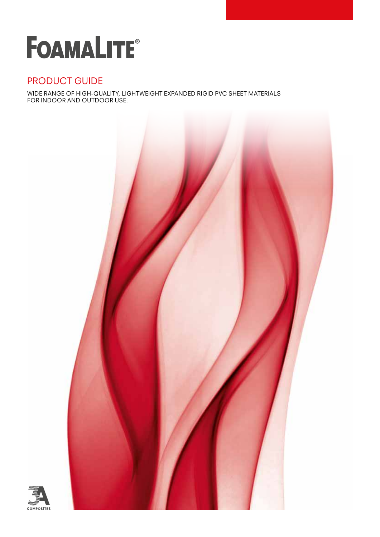# **FOAMALITE®**

### PRODUCT GUIDE

WIDE RANGE OF HIGH-QUALITY, LIGHTWEIGHT EXPANDED RIGID PVC SHEET MATERIALS FOR INDOOR AND OUTDOOR USE.



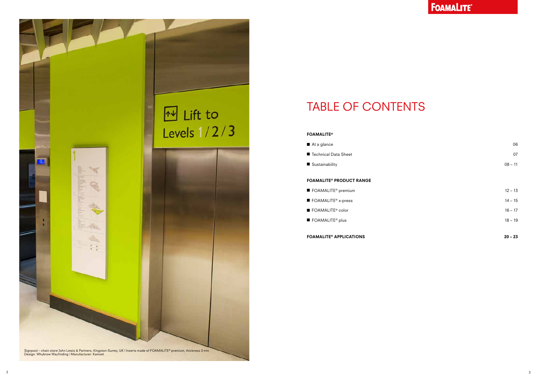### TABLE OF CONTENTS

#### FOAMALITE®

- At a glance 06
- Technical Data Sheet 07
- Sustainability 08 11

### FOAMALITE® PRODUCT RANGE

- FOAMALITE® premium 12 13
- FOAMALITE® x-press 14 15
- $\blacksquare$  FOAMALITE® color 16 17
- $\blacksquare$  FOAMALITE® plus 18 19



### FOAMALITE® APPLICATIONS 20 – 23

### FOAMALITE®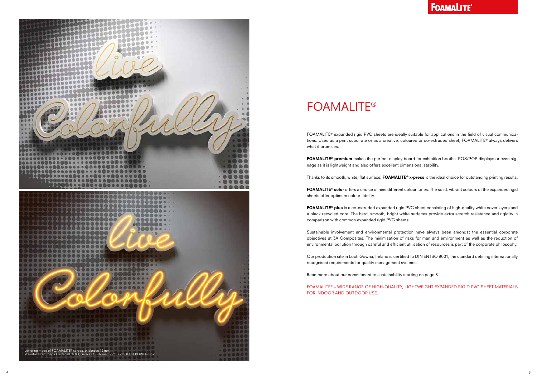

FOAMALITE® expanded rigid PVC sheets are ideally suitable for applications in the field of visual communications. Used as a print substrate or as a creative, coloured or co-extruded sheet, FOAMALITE® always delivers what it promises.

FOAMALITE® premium makes the perfect display board for exhibition booths, POS/POP displays or even signage as it is lightweight and also offers excellent dimensional stability.

Thanks to its smooth, white, flat surface, FOAMALITE® x-press is the ideal choice for outstanding printing results.

FOAMALITE® color offers a choice of nine different colour tones. The solid, vibrant colours of the expanded rigid sheets offer optimum colour fidelity.

FOAMALITE® plus is a co-extruded expanded rigid PVC sheet consisting of high-quality white cover layers and a black recycled core. The hard, smooth, bright white surfaces provide extra scratch resistance and rigidity in comparison with common expanded rigid PVC sheets.

Sustainable involvement and environmental protection have always been amongst the essential corporate objectives at 3A Composites. The minimisation of risks for man and environment as well as the reduction of environmental pollution through careful and efficient utilisation of resources is part of the corporate philosophy.

Our production site in Loch Gowna, Ireland is certified to DIN EN ISO 9001, the standard defining internationally recognised requirements for quality management systems.

Read more about our commitment to sustainability starting on page 8.

FOAMALITE® – WIDE RANGE OF HIGH-QUALITY, LIGHTWEIGHT EXPANDED RIGID PVC SHEET MATERIALS FOR INDOOR AND OUTDOOR USE.

## FOAMALITE®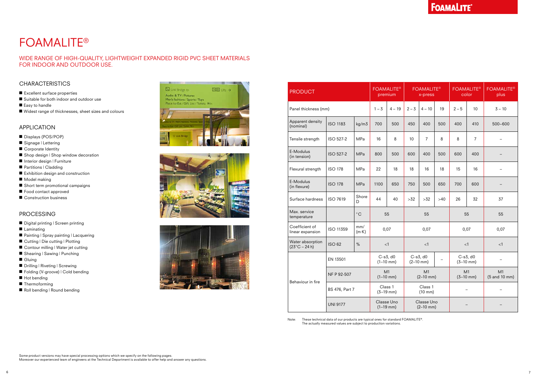Note: These technical data of our products are typical ones for standard FOAMALITE®. The actually measured values are subject to production variations.

### APPLICATION

- Displays (POS/POP)
- Signage | Lettering
- Corporate Identity
- Shop design | Shop window decoration
- Interior design | Furniture
- Partitions | Cladding
- Exhibition design and construction
- Model making
- Short term promotional campaigns
- Food contact approved
- Construction business

### PROCESSING

- Digital printing | Screen printing
- Laminating
- Painting | Spray painting | Lacquering
- Cutting | Die cutting | Plotting
- Contour milling | Water jet cutting
- Shearing | Sawing | Punching
- Gluing
- Drilling | Riveting | Screwing
- Folding (V-groove) | Cold bending
- Hot bending
- Thermoforming
- Roll bending | Round bending







## FOAMALITE®

### WIDE RANGE OF HIGH-QUALITY, LIGHTWEIGHT EXPANDED RIGID PVC SHEET MATERIALS FOR INDOOR AND OUTDOOR USE.

### **CHARACTERISTICS**

- Excellent surface properties
- Suitable for both indoor and outdoor use
- Easy to handle
- Widest range of thicknesses, sheet sizes and colours

### **FOAMALITE®**

| <b>PRODUCT</b>                             |                       |                      | <b>FOAMALITE®</b><br>premium |          | <b>FOAMALITE®</b><br>x-press  |                |     | <b>FOAMALITE®</b><br>color    |                | <b>FOAMALITE®</b><br>plus |
|--------------------------------------------|-----------------------|----------------------|------------------------------|----------|-------------------------------|----------------|-----|-------------------------------|----------------|---------------------------|
| Panel thickness (mm)                       |                       |                      | $1 - 3$                      | $4 - 19$ | $2 - 3$                       | $4 - 10$       | 19  | $2 - 5$                       | 10             | $3 - 10$                  |
| Apparent density<br>(nominal)              | <b>ISO 1183</b>       | kg/m3                | 700                          | 500      | 450                           | 400            | 500 | 400                           | 410            | 500-600                   |
| Tensile strength                           | ISO 527-2             | MPa                  | 16                           | 8        | 10                            | $\overline{7}$ | 8   | 8                             | $\overline{7}$ |                           |
| E-Modulus<br>(in tension)                  | <b>ISO 527-2</b>      | MPa                  | 800                          | 500      | 600                           | 400            | 500 | 600                           | 400            |                           |
| Flexural strength                          | <b>ISO 178</b>        | MPa                  | 22                           | 18       | 18                            | 16             | 18  | 15                            | 16             |                           |
| E-Modulus<br>(in flexure)                  | <b>ISO 178</b>        | MPa                  | 1100                         | 650      | 750                           | 500            | 650 | 700                           | 600            |                           |
| Surface hardness                           | <b>ISO 7619</b>       | Shore<br>D           | 44                           | 40       | $>32$                         | $>32$          | >40 | 26                            | 32             | 37                        |
| Max. service<br>temperature                |                       | $^{\circ}$ C         | 55                           |          | 55                            |                |     | 55                            |                | 55                        |
| Coefficient of<br>linear expansion         | ISO 11359             | mm/<br>$(m \cdot K)$ | 0,07                         |          | 0,07                          |                |     | 0,07                          |                | 0,07                      |
| Water absorption<br>$(23^{\circ}C - 24 h)$ | <b>ISO 62</b>         | $\%$                 | < 1                          |          | <1                            |                |     | $<$ 1                         |                | <1                        |
| Behaviour in fire                          | EN 13501              |                      | C-s3, d0<br>$(1-10$ mm)      |          | $C-s3$ , d $0$<br>$(2-10$ mm) |                |     | $C-s3$ , d $0$<br>$(3-10$ mm) |                |                           |
|                                            | NF P 92-507           |                      | M1<br>$(1-10$ mm)            |          | M1<br>$(2-10$ mm)             |                |     | M1<br>$(3-10$ mm)             |                | M1<br>(5 and 10 mm)       |
|                                            | <b>BS 476, Part 7</b> |                      | Class 1<br>$(3-19$ mm)       |          | Class 1<br>$(10 \text{ mm})$  |                |     |                               |                |                           |
|                                            | <b>UNI 9177</b>       |                      | Classe Uno<br>$(1-19$ mm)    |          | Classe Uno<br>$(2-10$ mm)     |                |     |                               |                |                           |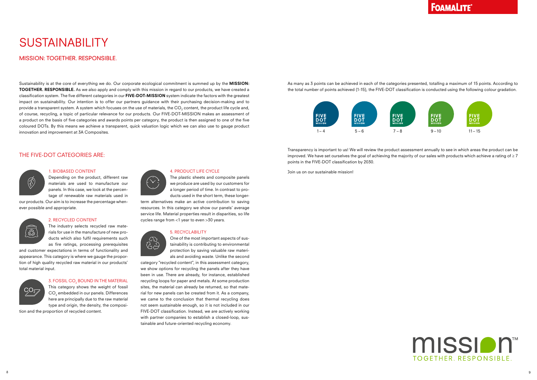### **FOAMALITE®**



Sustainability is at the core of everything we do. Our corporate ecological commitment is summed up by the **MISSION:** TOGETHER. RESPONSIBLE. As we also apply and comply with this mission in regard to our products, we have created a classification system. The five different categories in our FIVE-DOT-MISSION system indicate the factors with the greatest impact on sustainability. Our intention is to offer our partners guidance with their purchasing decision-making and to provide a transparent system. A system which focuses on the use of materials, the CO $_{\rm 2}$  content, the product life cycle and, of course, recycling, a topic of particular relevance for our products. Our FIVE-DOT-MISSION makes an assessment of a product on the basis of five categories and awards points per category, the product is then assigned to one of the five coloured DOTs. By this means we achieve a transparent, quick valuation logic which we can also use to gauge product innovation and improvement at 3A Composites.

MISSION: TOGETHER. RESPONSIBLE RESPONSIBLE.

As many as 3 points can be achieved in each of the categories presented, totalling a maximum of 15 points. According to the total number of points achieved (1-15), the FIVE-DOT classification is conducted using the following colour gradation.

## SUSTAINABILITY

Transparency is important to us! We will review the product assessment annually to see in which areas the product can be improved. We have set ourselves the goal of achieving the majority of our sales with products which achieve a rating of  $\geq 7$ points in the FIVE-DOT classification by 2030.

Join us on our sustainable mission!

### THE FIVE-DOT CATEGORIES ARE:



 $\sqrt{\frac{\mathcal{O}}{\mathcal{O}}\mathcal{O}}$ 

### 4. PRODUCT LIFE CYCLE

The plastic sheets and composite panels we produce are used by our customers for a longer period of time. In contrast to products used in the short term, these longer-

term alternatives make an active contribution to saving resources. In this category we show our panels' average service life. Material properties result in disparities, so life cycles range from <1 year to even >30 years.

#### 5. RECYCLABILITY



One of the most important aspects of sustainability is contributing to environmental protection by saving valuable raw materials and avoiding waste. Unlike the second

category "recycled content", in this assessment category, we show options for recycling the panels after they have been in use. There are already, for instance, established recycling loops for paper and metals. At some production sites, the material can already be returned, so that material for new panels can be created from it. As a company, we came to the conclusion that thermal recycling does not seem sustainable enough, so it is not included in our FIVE-DOT classification. Instead, we are actively working with partner companies to establish a closed-loop, sustainable and future-oriented recycling economy.

#### 1. BIOBASED CONTENT

Depending on the product, different raw materials are used to manufacture our panels. In this case, we look at the percentage of renewable raw materials used in

our products. Our aim is to increase the percentage whenever possible and appropriate.

#### 2. RECYCLED CONTENT

The industry selects recycled raw materials for use in the manufacture of new products which also fulfil requirements such as fire ratings, processing prerequisites

and customer expectations in terms of functionality and appearance. This category is where we gauge the proportion of high quality recycled raw material in our products' total material input.



### 3. FOSSIL CO $_{\tiny 2}$  BOUND IN THE MATERIAL

This category shows the weight of fossil  $\mathsf{CO}_2$  embedded in our panels. Differences here are principally due to the raw material type and origin, the density, the composi-

tion and the proportion of recycled content.



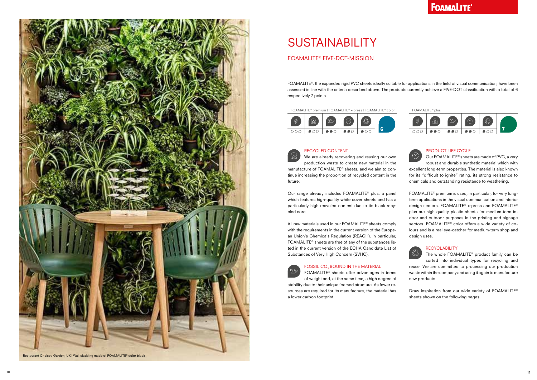FOAMALITE®, the expanded rigid PVC sheets ideally suitable for applications in the field of visual communication, have been assessed in line with the criteria described above. The products currently achieve a FIVE-DOT classification with a total of 6 respectively 7 points.

### FOAMALITE® FIVE-DOT-MISSION

### PRODUCT LIFE CYCLE

Our FOAMALITE® sheets are made of PVC, a very robust and durable synthetic material which with excellent long-term properties. The material is also known for its "difficult to ignite" rating, its strong resistance to chemicals and outstanding resistance to weathering.

Draw inspiration from our wide variety of FOAMALITE® sheets shown on the following pages.

 $\widehat{\mathbb{C}}$ We are already recovering and reusing our own production waste to create new material in the manufacture of FOAMALITE® sheets, and we aim to continue increasing the proportion of recycled content in the future:

> FOAMALITE® premium is used, in particular, for very longterm applications in the visual communication and interior design sectors. FOAMALITE® x-press and FOAMALITE® plus are high quality plastic sheets for medium-term indoor and outdoor purposes in the printing and signage sectors. FOAMALITE® color offers a wide variety of colours and is a real eye-catcher for medium-term shop and design uses.



### RECYCLABILITY

The whole FOAMALITE® product family can be sorted into individual types for recycling and reuse. We are committed to processing our production waste within the company and using it again to manufacture new products.



# **SUSTAINABILITY**

### RECYCLED CONTENT

Our range already includes FOAMALITE® plus, a panel which features high-quality white cover sheets and has a particularly high recycled content due to its black recycled core.

All raw materials used in our FOAMALITE® sheets comply with the requirements in the current version of the European Union's Chemicals Regulation (REACH). In particular, FOAMALITE® sheets are free of any of the substances listed in the current version of the ECHA Candidate List of Substances of Very High Concern (SVHC).



### FOSSIL CO $_{\tiny 2}$  BOUND IN THE MATERIAL

FOAMALITE® sheets offer advantages in terms

of weight and, at the same time, a high degree of stability due to their unique foamed structure. As fewer resources are required for its manufacture, the material has a lower carbon footprint.

### **FOAMALITE®**

FOAMALITE® premium | FOAMALITE® x-press | FOAMALITE® color







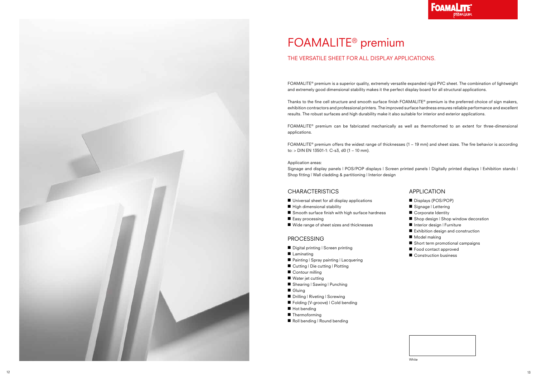

# FOAMALITE ® premium

FOAMALITE ® premium is a superior quality, extremely versatile expanded rigid PVC sheet. The combination of lightweight and extremely good dimensional stability makes it the perfect display board for all structural applications.

Thanks to the fine cell structure and smooth surface finish FOAMALITE ® premium is the preferred choice of sign makers, exhibition contractors and professional printers. The improved surface hardness ensures reliable performance and excellent results. The robust surfaces and high durability make it also suitable for interior and exterior applications.

FOAMALITE ® premium can be fabricated mechanically as well as thermoformed to an extent for three-dimensional applications.

FOAMALITE ® premium offers the widest range of thicknesses (1 – 19 mm) and sheet sizes. The fire behavior is according to: > DIN EN 13501-1: C-s3, d0 (1 – 10 mm).

#### Application areas:

Signage and display panels | POS/POP displays | Screen printed panels | Digitally printed displays | Exhibition stands | Shop fitting | Wall cladding & partitioning | Interior design

### **CHARACTERISTICS**

- Universal sheet for all display applications
- High dimensional stability
- Smooth surface finish with high surface hardness
- Easy processing
- Wide range of sheet sizes and thicknesses

### THE VERSATILE SHEET FOR ALL DISPLAY APPLICATIONS.

### PROCESSING

- Digital printing | Screen printing
- Laminating
- Painting | Spray painting | Lacquering
- Cutting | Die cutting | Plotting
- Contour milling
- Water jet cutting
- Shearing | Sawing | Punching
- Gluing
- Drilling | Riveting | Screwing
- Folding (V-groove) | Cold bending
- Hot bending
- Thermoforming
- Roll bending | Round bending

- Displays (POS/POP)
- Signage | Lettering
- Corporate Identity
- Shop design | Shop window decoration
- Interior design | Furniture
- Exhibition design and construction
- Model making
- Short term promotional campaigns
- Food contact approved
- Construction business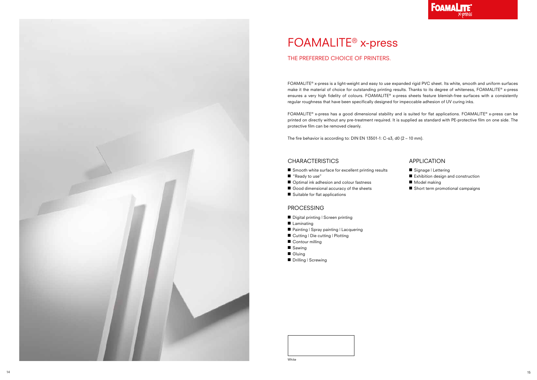



# FOAMALITE® x-press

FOAMALITE® x-press is a light-weight and easy to use expanded rigid PVC sheet. Its white, smooth and uniform surfaces make it the material of choice for outstanding printing results. Thanks to its degree of whiteness, FOAMALITE® x-press ensures a very high fidelity of colours. FOAMALITE® x-press sheets feature blemish-free surfaces with a consistently regular roughness that have been specifically designed for impeccable adhesion of UV curing inks.

FOAMALITE® x-press has a good dimensional stability and is suited for flat applications. FOAMALITE® x-press can be printed on directly without any pre-treatment required. It is supplied as standard with PE-protective film on one side. The protective film can be removed cleanly.

The fire behavior is according to: DIN EN 13501-1: C-s3, d0 (2 – 10 mm).

### **CHARACTERISTICS**

- Smooth white surface for excellent printing results
- "Ready to use"
- Optimal ink adhesion and colour fastness
- Good dimensional accuracy of the sheets
- Suitable for flat applications

### THE PREFERRED CHOICE OF PRINTERS.

### PROCESSING

- Digital printing | Screen printing
- Laminating
- Painting | Spray painting | Lacquering
- Cutting | Die cutting | Plotting
- Contour milling
- Sawing
- Gluing
- Drilling | Screwing

- Signage | Lettering
- Exhibition design and construction
- Model making
- Short term promotional campaigns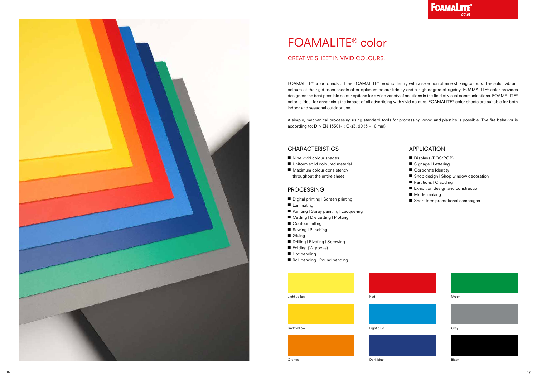





Light yellow Red

Dark yellow **Light blue** 

### Grey





FOAMALITE® color rounds off the FOAMALITE® product family with a selection of nine striking colours. The solid, vibrant colours of the rigid foam sheets offer optimum colour fidelity and a high degree of rigidity. FOAMALITE® color provides designers the best possible colour options for a wide variety of solutions in the field of visual communications. FOAMALITE® color is ideal for enhancing the impact of all advertising with vivid colours. FOAMALITE® color sheets are suitable for both indoor and seasonal outdoor use.

- Nine vivid colour shades
- Uniform solid coloured material
- Maximum colour consistency throughout the entire sheet

A simple, mechanical processing using standard tools for processing wood and plastics is possible. The fire behavior is according to: DIN EN 13501-1: C-s3, d0 (3 – 10 mm).

### **CHARACTERISTICS**

### CREATIVE SHEET IN VIVID COLOURS.

# FOAMALITE® color

### PROCESSING

- Digital printing | Screen printing
- Laminating
- Painting | Spray painting | Lacquering
- Cutting | Die cutting | Plotting
- Contour milling
- Sawing | Punching
- Gluing
- Drilling | Riveting | Screwing
- Folding (V-groove)
- Hot bending
- Roll bending | Round bending

- Displays (POS/POP)
- Signage | Lettering
- Corporate Identity
- Shop design | Shop window decoration
- Partitions | Cladding
- Exhibition design and construction
- Model making
- Short term promotional campaigns

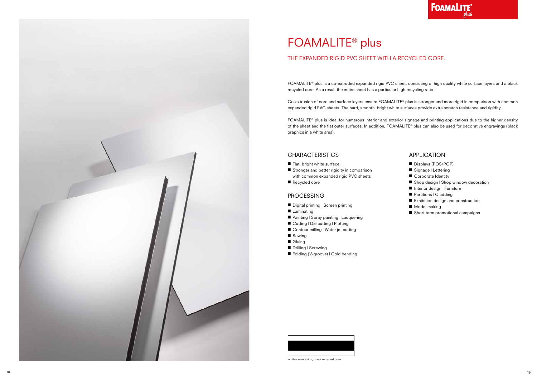

## FOAMALITE® plus

FOAMALITE® plus is a co-extruded expanded rigid PVC sheet, consisting of high quality white surface layers and a black recycled core. As a result the entire sheet has a particular high recycling ratio.

Co-extrusion of core and surface layers ensure FOAMALITE® plus is stronger and more rigid in comparison with common expanded rigid PVC sheets. The hard, smooth, bright white surfaces provide extra scratch resistance and rigidity.

FOAMALITE® plus is ideal for numerous interior and exterior signage and printing applications due to the higher density of the sheet and the flat outer surfaces. In addition, FOAMALITE® plus can also be used for decorative engravings (black graphics in a white area).

### THE EXPANDED RIGID PVC SHEET WITH A RECYCLED CORE.



White cover skins, black recycled core



### CHARACTERISTICS

- Flat, bright white surface
- Stronger and better rigidity in comparison with common expanded rigid PVC sheets
- Recycled core

### PROCESSING

- Digital printing | Screen printing
- Laminating
- Painting | Spray painting | Lacquering
- Cutting | Die cutting | Plotting
- Contour milling | Water jet cutting
- Sawing
- Gluing
- Drilling | Screwing
- Folding (V-groove) | Cold bending

- Displays (POS/POP)
- Signage | Lettering
- Corporate Identity
- Shop design | Shop window decoration
- Interior design | Furniture
- Partitions | Cladding
- Exhibition design and construction
- Model making
- Short term promotional campaigns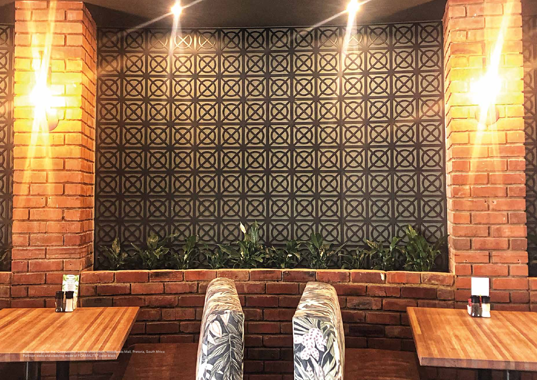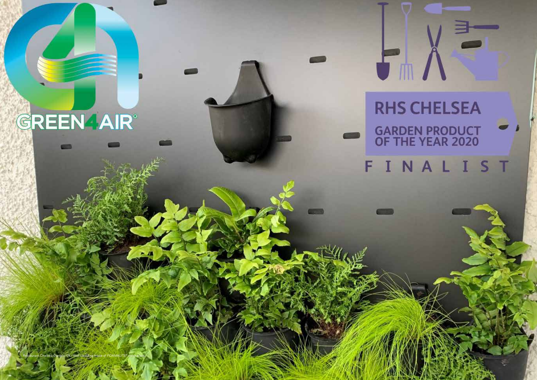# **GREEN AIR®**

Restaurant Chelsea Garden, UK | Wall cladding made of FOAMALITE® color black

# **RHS CHELSEA GARDEN PRODUCT<br>OF THE YEAR 2020**

 $\mathcal{F}_m$